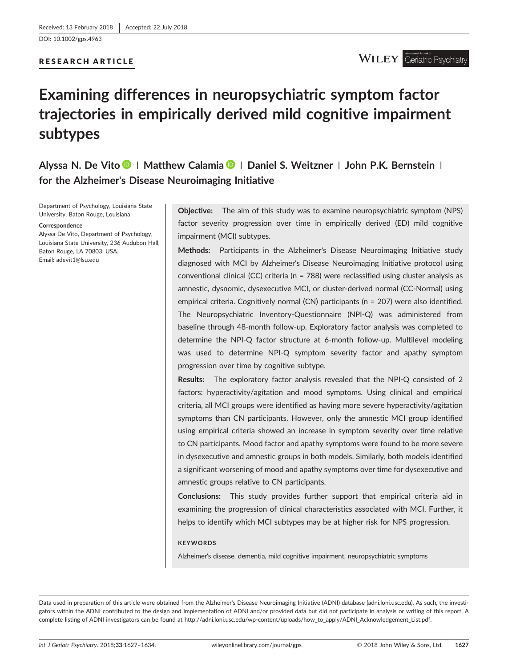[DOI: 10.1002/gps.4963](https://doi.org/10.1002/gps.4963)

## RESEARCH ARTICLE

# Examining differences in neuropsychiatric symptom factor trajectories in empirically derived mild cognitive impairment subtypes

Alyssa N. De Vito  $\blacksquare$  | Matthew Calamia  $\blacksquare$  | Daniel S. Weitzner | John P.K. Bernstein | for the Alzheimer's Disease Neuroimaging Initiative

Department of Psychology, Louisiana State University, Baton Rouge, Louisiana

#### Correspondence

Alyssa De Vito, Department of Psychology, Louisiana State University, 236 Audubon Hall, Baton Rouge, LA 70803, USA. Email: [adevit1@lsu.edu](mailto:adevit1@lsu.edu)

Objective: The aim of this study was to examine neuropsychiatric symptom (NPS) factor severity progression over time in empirically derived (ED) mild cognitive impairment (MCI) subtypes.

Methods: Participants in the Alzheimer's Disease Neuroimaging Initiative study diagnosed with MCI by Alzheimer's Disease Neuroimaging Initiative protocol using conventional clinical (CC) criteria (n = 788) were reclassified using cluster analysis as amnestic, dysnomic, dysexecutive MCI, or cluster‐derived normal (CC‐Normal) using empirical criteria. Cognitively normal (CN) participants (n = 207) were also identified. The Neuropsychiatric Inventory‐Questionnaire (NPI‐Q) was administered from baseline through 48‐month follow‐up. Exploratory factor analysis was completed to determine the NPI‐Q factor structure at 6‐month follow‐up. Multilevel modeling was used to determine NPI‐Q symptom severity factor and apathy symptom progression over time by cognitive subtype.

Results: The exploratory factor analysis revealed that the NPI-Q consisted of 2 factors: hyperactivity/agitation and mood symptoms. Using clinical and empirical criteria, all MCI groups were identified as having more severe hyperactivity/agitation symptoms than CN participants. However, only the amnestic MCI group identified using empirical criteria showed an increase in symptom severity over time relative to CN participants. Mood factor and apathy symptoms were found to be more severe in dysexecutive and amnestic groups in both models. Similarly, both models identified a significant worsening of mood and apathy symptoms over time for dysexecutive and amnestic groups relative to CN participants.

Conclusions: This study provides further support that empirical criteria aid in examining the progression of clinical characteristics associated with MCI. Further, it helps to identify which MCI subtypes may be at higher risk for NPS progression.

## **KEYWORDS**

Alzheimer's disease, dementia, mild cognitive impairment, neuropsychiatric symptoms

Data used in preparation of this article were obtained from the Alzheimer's Disease Neuroimaging Initiative (ADNI) database ([adni.loni.usc.edu](http://adni.loni.usc.edu)). As such, the investigators within the ADNI contributed to the design and implementation of ADNI and/or provided data but did not participate in analysis or writing of this report. A complete listing of ADNI investigators can be found at http://adni.loni.usc.edu/wp-[content/uploads/how\\_to\\_apply/ADNI\\_Acknowledgement\\_List.pdf.](http://adni.loni.usc.edu/wp-content/uploads/how_to_apply/ADNI_Acknowledgement_List.pdf)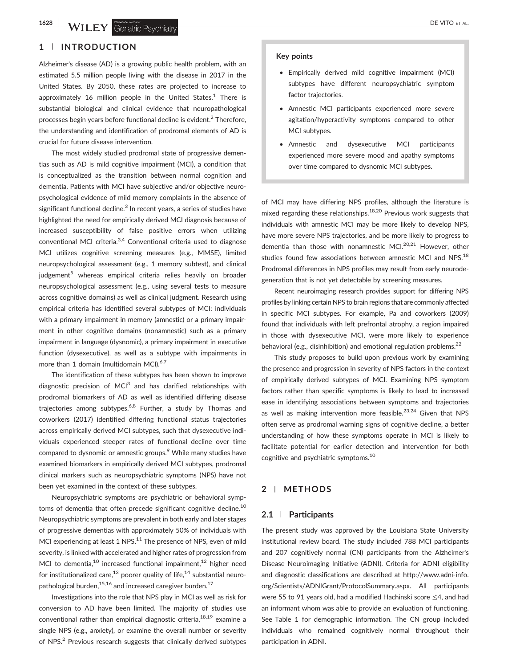# 1 | INTRODUCTION

Alzheimer's disease (AD) is a growing public health problem, with an estimated 5.5 million people living with the disease in 2017 in the United States. By 2050, these rates are projected to increase to approximately 16 million people in the United States.<sup>1</sup> There is substantial biological and clinical evidence that neuropathological processes begin years before functional decline is evident.<sup>2</sup> Therefore, the understanding and identification of prodromal elements of AD is crucial for future disease intervention.

The most widely studied prodromal state of progressive dementias such as AD is mild cognitive impairment (MCI), a condition that is conceptualized as the transition between normal cognition and dementia. Patients with MCI have subjective and/or objective neuropsychological evidence of mild memory complaints in the absence of significant functional decline. $3$  In recent years, a series of studies have highlighted the need for empirically derived MCI diagnosis because of increased susceptibility of false positive errors when utilizing conventional MCI criteria.<sup>3,4</sup> Conventional criteria used to diagnose MCI utilizes cognitive screening measures (e.g., MMSE), limited neuropsychological assessment (e.g., 1 memory subtest), and clinical judgement<sup>5</sup> whereas empirical criteria relies heavily on broader neuropsychological assessment (e.g., using several tests to measure across cognitive domains) as well as clinical judgment. Research using empirical criteria has identified several subtypes of MCI: individuals with a primary impairment in memory (amnestic) or a primary impairment in other cognitive domains (nonamnestic) such as a primary impairment in language (dysnomic), a primary impairment in executive function (dysexecutive), as well as a subtype with impairments in more than 1 domain (multidomain MCI).<sup>6,7</sup>

The identification of these subtypes has been shown to improve diagnostic precision of  $MCI<sup>3</sup>$  and has clarified relationships with prodromal biomarkers of AD as well as identified differing disease trajectories among subtypes.<sup>6,8</sup> Further, a study by Thomas and coworkers (2017) identified differing functional status trajectories across empirically derived MCI subtypes, such that dysexecutive individuals experienced steeper rates of functional decline over time compared to dysnomic or amnestic groups.<sup>9</sup> While many studies have examined biomarkers in empirically derived MCI subtypes, prodromal clinical markers such as neuropsychiatric symptoms (NPS) have not been yet examined in the context of these subtypes.

Neuropsychiatric symptoms are psychiatric or behavioral symptoms of dementia that often precede significant cognitive decline.<sup>10</sup> Neuropsychiatric symptoms are prevalent in both early and later stages of progressive dementias with approximately 50% of individuals with MCI experiencing at least 1 NPS.<sup>11</sup> The presence of NPS, even of mild severity, is linked with accelerated and higher rates of progression from MCI to dementia.<sup>10</sup> increased functional impairment.<sup>12</sup> higher need for institutionalized care, $^{13}$  poorer quality of life, $^{14}$  substantial neuropathological burden, $15,16$  and increased caregiver burden. $17$ 

Investigations into the role that NPS play in MCI as well as risk for conversion to AD have been limited. The majority of studies use conventional rather than empirical diagnostic criteria, $18,19$  examine a single NPS (e.g., anxiety), or examine the overall number or severity of NPS.<sup>2</sup> Previous research suggests that clinically derived subtypes

#### Key points

- Empirically derived mild cognitive impairment (MCI) subtypes have different neuropsychiatric symptom factor trajectories.
- Amnestic MCI participants experienced more severe agitation/hyperactivity symptoms compared to other MCI subtypes.
- Amnestic and dysexecutive MCI participants experienced more severe mood and apathy symptoms over time compared to dysnomic MCI subtypes.

of MCI may have differing NPS profiles, although the literature is mixed regarding these relationships.<sup>18,20</sup> Previous work suggests that individuals with amnestic MCI may be more likely to develop NPS, have more severe NPS trajectories, and be more likely to progress to dementia than those with nonamnestic MCI.<sup>20,21</sup> However, other studies found few associations between amnestic MCI and NPS.<sup>18</sup> Prodromal differences in NPS profiles may result from early neurodegeneration that is not yet detectable by screening measures.

Recent neuroimaging research provides support for differing NPS profiles by linking certain NPS to brain regions that are commonly affected in specific MCI subtypes. For example, Pa and coworkers (2009) found that individuals with left prefrontal atrophy, a region impaired in those with dysexecutive MCI, were more likely to experience behavioral (e.g., disinhibition) and emotional regulation problems. $^{22}$ 

This study proposes to build upon previous work by examining the presence and progression in severity of NPS factors in the context of empirically derived subtypes of MCI. Examining NPS symptom factors rather than specific symptoms is likely to lead to increased ease in identifying associations between symptoms and trajectories as well as making intervention more feasible.<sup>23,24</sup> Given that NPS often serve as prodromal warning signs of cognitive decline, a better understanding of how these symptoms operate in MCI is likely to facilitate potential for earlier detection and intervention for both cognitive and psychiatric symptoms.<sup>10</sup>

## 2 | METHODS

#### 2.1 | Participants

The present study was approved by the Louisiana State University institutional review board. The study included 788 MCI participants and 207 cognitively normal (CN) participants from the Alzheimer's Disease Neuroimaging Initiative (ADNI). Criteria for ADNI eligibility and diagnostic classifications are described at [http://www.adni](http://www.adni-info.org/Scientists/ADNIGrant/ProtocolSummary.aspx)‐info. [org/Scientists/ADNIGrant/ProtocolSummary.aspx](http://www.adni-info.org/Scientists/ADNIGrant/ProtocolSummary.aspx). All participants were 55 to 91 years old, had a modified Hachinski score ≤4, and had an informant whom was able to provide an evaluation of functioning. See Table 1 for demographic information. The CN group included individuals who remained cognitively normal throughout their participation in ADNI.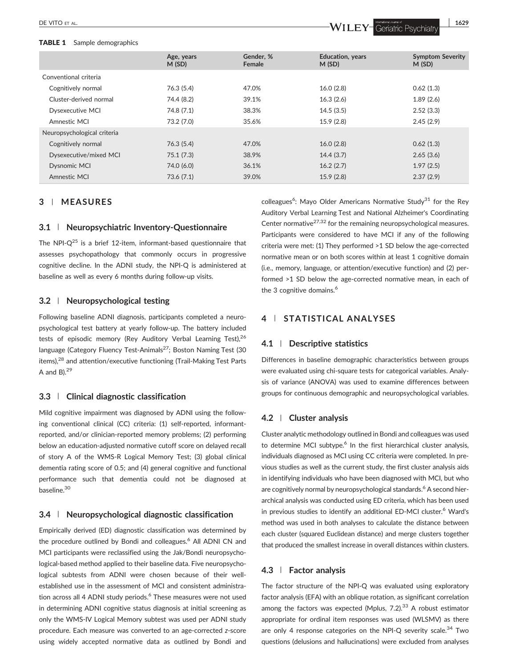#### TABLE 1 Sample demographics

|                             | Age, years<br>M(SD) | Gender, %<br>Female | <b>Education, years</b><br>M(SD) | <b>Symptom Severity</b><br>M(SD) |
|-----------------------------|---------------------|---------------------|----------------------------------|----------------------------------|
| Conventional criteria       |                     |                     |                                  |                                  |
| Cognitively normal          | 76.3(5.4)           | 47.0%               | 16.0(2.8)                        | 0.62(1.3)                        |
| Cluster-derived normal      | 74.4 (8.2)          | 39.1%               | 16.3(2.6)                        | 1.89(2.6)                        |
| <b>Dysexecutive MCI</b>     | 74.8 (7.1)          | 38.3%               | 14.5(3.5)                        | 2.52(3.3)                        |
| Amnestic MCI                | 73.2 (7.0)          | 35.6%               | 15.9(2.8)                        | 2.45(2.9)                        |
| Neuropsychological criteria |                     |                     |                                  |                                  |
| Cognitively normal          | 76.3(5.4)           | 47.0%               | 16.0(2.8)                        | 0.62(1.3)                        |
| Dysexecutive/mixed MCI      | 75.1(7.3)           | 38.9%               | 14.4(3.7)                        | 2.65(3.6)                        |
| <b>Dysnomic MCI</b>         | 74.0 (6.0)          | 36.1%               | 16.2(2.7)                        | 1.97(2.5)                        |
| Amnestic MCI                | 73.6 (7.1)          | 39.0%               | 15.9(2.8)                        | 2.37(2.9)                        |

## 3 | MEASURES

## 3.1 | Neuropsychiatric Inventory‐Questionnaire

The NPI- $Q^{25}$  is a brief 12-item, informant-based questionnaire that assesses psychopathology that commonly occurs in progressive cognitive decline. In the ADNI study, the NPI‐Q is administered at baseline as well as every 6 months during follow‐up visits.

## 3.2 | Neuropsychological testing

Following baseline ADNI diagnosis, participants completed a neuropsychological test battery at yearly follow‐up. The battery included tests of episodic memory (Rey Auditory Verbal Learning Test),<sup>26</sup> language (Category Fluency Test-Animals<sup>27</sup>; Boston Naming Test (30) items),28 and attention/executive functioning (Trail‐Making Test Parts A and B). $29$ 

#### 3.3 | Clinical diagnostic classification

Mild cognitive impairment was diagnosed by ADNI using the following conventional clinical (CC) criteria: (1) self-reported, informantreported, and/or clinician‐reported memory problems; (2) performing below an education‐adjusted normative cutoff score on delayed recall of story A of the WMS‐R Logical Memory Test; (3) global clinical dementia rating score of 0.5; and (4) general cognitive and functional performance such that dementia could not be diagnosed at baseline.<sup>30</sup>

### 3.4 | Neuropsychological diagnostic classification

Empirically derived (ED) diagnostic classification was determined by the procedure outlined by Bondi and colleagues.<sup>6</sup> All ADNI CN and MCI participants were reclassified using the Jak/Bondi neuropsychological-based method applied to their baseline data. Five neuropsychological subtests from ADNI were chosen because of their well‐ established use in the assessment of MCI and consistent administration across all 4 ADNI study periods.<sup>6</sup> These measures were not used in determining ADNI cognitive status diagnosis at initial screening as only the WMS‐IV Logical Memory subtest was used per ADNI study procedure. Each measure was converted to an age‐corrected z‐score using widely accepted normative data as outlined by Bondi and

colleagues<sup>6</sup>: Mayo Older Americans Normative Study<sup>31</sup> for the Rey Auditory Verbal Learning Test and National Alzheimer's Coordinating Center normative $^{27,32}$  for the remaining neuropsychological measures. Participants were considered to have MCI if any of the following criteria were met: (1) They performed >1 SD below the age-corrected normative mean or on both scores within at least 1 cognitive domain (i.e., memory, language, or attention/executive function) and (2) performed >1 SD below the age‐corrected normative mean, in each of the 3 cognitive domains.<sup>6</sup>

# 4 | STATISTICAL ANALYSES

## 4.1 | Descriptive statistics

Differences in baseline demographic characteristics between groups were evaluated using chi-square tests for categorical variables. Analysis of variance (ANOVA) was used to examine differences between groups for continuous demographic and neuropsychological variables.

#### 4.2 | Cluster analysis

Cluster analytic methodology outlined in Bondi and colleagues was used to determine MCI subtype.<sup>6</sup> In the first hierarchical cluster analysis, individuals diagnosed as MCI using CC criteria were completed. In previous studies as well as the current study, the first cluster analysis aids in identifying individuals who have been diagnosed with MCI, but who are cognitively normal by neuropsychological standards.<sup>6</sup> A second hierarchical analysis was conducted using ED criteria, which has been used in previous studies to identify an additional ED-MCI cluster.<sup>6</sup> Ward's method was used in both analyses to calculate the distance between each cluster (squared Euclidean distance) and merge clusters together that produced the smallest increase in overall distances within clusters.

## 4.3 | Factor analysis

The factor structure of the NPI-Q was evaluated using exploratory factor analysis (EFA) with an oblique rotation, as significant correlation among the factors was expected (Mplus,  $7.2$ ).<sup>33</sup> A robust estimator appropriate for ordinal item responses was used (WLSMV) as there are only 4 response categories on the NPI-Q severity scale.<sup>34</sup> Two questions (delusions and hallucinations) were excluded from analyses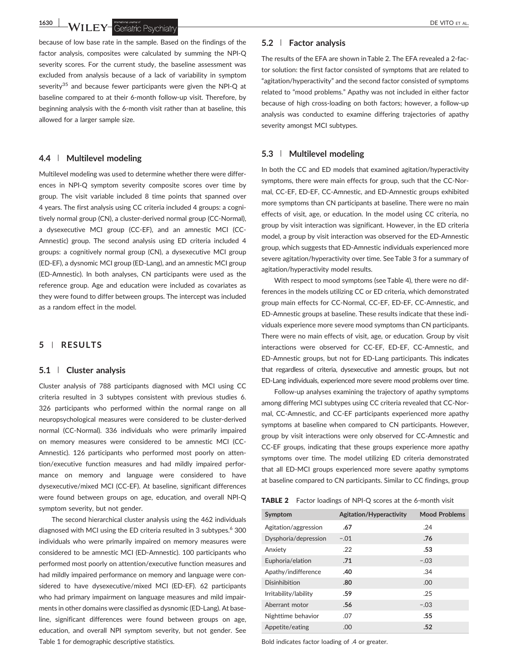1630 WILEY Geriatric Psychiatry **DE VITO ET AL.** 

because of low base rate in the sample. Based on the findings of the factor analysis, composites were calculated by summing the NPI‐Q severity scores. For the current study, the baseline assessment was excluded from analysis because of a lack of variability in symptom severity<sup>35</sup> and because fewer participants were given the NPI-Q at baseline compared to at their 6‐month follow‐up visit. Therefore, by beginning analysis with the 6‐month visit rather than at baseline, this allowed for a larger sample size.

## 4.4 | Multilevel modeling

Multilevel modeling was used to determine whether there were differences in NPI‐Q symptom severity composite scores over time by group. The visit variable included 8 time points that spanned over 4 years. The first analysis using CC criteria included 4 groups: a cognitively normal group (CN), a cluster‐derived normal group (CC‐Normal), a dysexecutive MCI group (CC‐EF), and an amnestic MCI (CC‐ Amnestic) group. The second analysis using ED criteria included 4 groups: a cognitively normal group (CN), a dysexecutive MCI group (ED‐EF), a dysnomic MCI group (ED‐Lang), and an amnestic MCI group (ED‐Amnestic). In both analyses, CN participants were used as the reference group. Age and education were included as covariates as they were found to differ between groups. The intercept was included as a random effect in the model.

#### 5 | RESULTS

#### 5.1 | Cluster analysis

Cluster analysis of 788 participants diagnosed with MCI using CC criteria resulted in 3 subtypes consistent with previous studies 6. 326 participants who performed within the normal range on all neuropsychological measures were considered to be cluster‐derived normal (CC‐Normal). 336 individuals who were primarily impaired on memory measures were considered to be amnestic MCI (CC‐ Amnestic). 126 participants who performed most poorly on attention/executive function measures and had mildly impaired performance on memory and language were considered to have dysexecutive/mixed MCI (CC‐EF). At baseline, significant differences were found between groups on age, education, and overall NPI‐Q symptom severity, but not gender.

The second hierarchical cluster analysis using the 462 individuals diagnosed with MCI using the ED criteria resulted in 3 subtypes.<sup>6</sup> 300 individuals who were primarily impaired on memory measures were considered to be amnestic MCI (ED‐Amnestic). 100 participants who performed most poorly on attention/executive function measures and had mildly impaired performance on memory and language were considered to have dysexecutive/mixed MCI (ED‐EF). 62 participants who had primary impairment on language measures and mild impairments in other domains were classified as dysnomic (ED‐Lang). At baseline, significant differences were found between groups on age, education, and overall NPI symptom severity, but not gender. See Table 1 for demographic descriptive statistics.

## 5.2 | Factor analysis

The results of the EFA are shown in Table 2. The EFA revealed a 2‐factor solution: the first factor consisted of symptoms that are related to "agitation/hyperactivity" and the second factor consisted of symptoms related to "mood problems." Apathy was not included in either factor because of high cross‐loading on both factors; however, a follow‐up analysis was conducted to examine differing trajectories of apathy severity amongst MCI subtypes.

## 5.3 | Multilevel modeling

In both the CC and ED models that examined agitation/hyperactivity symptoms, there were main effects for group, such that the CC‐Normal, CC‐EF, ED‐EF, CC‐Amnestic, and ED‐Amnestic groups exhibited more symptoms than CN participants at baseline. There were no main effects of visit, age, or education. In the model using CC criteria, no group by visit interaction was significant. However, in the ED criteria model, a group by visit interaction was observed for the ED‐Amnestic group, which suggests that ED‐Amnestic individuals experienced more severe agitation/hyperactivity over time. See Table 3 for a summary of agitation/hyperactivity model results.

With respect to mood symptoms (see Table 4), there were no differences in the models utilizing CC or ED criteria, which demonstrated group main effects for CC‐Normal, CC‐EF, ED‐EF, CC‐Amnestic, and ED‐Amnestic groups at baseline. These results indicate that these individuals experience more severe mood symptoms than CN participants. There were no main effects of visit, age, or education. Group by visit interactions were observed for CC‐EF, ED‐EF, CC‐Amnestic, and ED‐Amnestic groups, but not for ED‐Lang participants. This indicates that regardless of criteria, dysexecutive and amnestic groups, but not ED‐Lang individuals, experienced more severe mood problems over time.

Follow‐up analyses examining the trajectory of apathy symptoms among differing MCI subtypes using CC criteria revealed that CC‐Normal, CC‐Amnestic, and CC‐EF participants experienced more apathy symptoms at baseline when compared to CN participants. However, group by visit interactions were only observed for CC‐Amnestic and CC‐EF groups, indicating that these groups experience more apathy symptoms over time. The model utilizing ED criteria demonstrated that all ED‐MCI groups experienced more severe apathy symptoms at baseline compared to CN participants. Similar to CC findings, group

| Symptom               | Agitation/Hyperactivity | <b>Mood Problems</b> |
|-----------------------|-------------------------|----------------------|
| Agitation/aggression  | .67                     | .24                  |
| Dysphoria/depression  | $-.01$                  | .76                  |
| Anxiety               | .22                     | .53                  |
| Euphoria/elation      | .71                     | $-.03$               |
| Apathy/indifference   | .40                     | .34                  |
| Disinhibition         | .80                     | .00                  |
| Irritability/lability | .59                     | .25                  |
| Aberrant motor        | .56                     | $-.03$               |
| Nighttime behavior    | .07                     | .55                  |
| Appetite/eating       | .00.                    | .52                  |

Bold indicates factor loading of .4 or greater.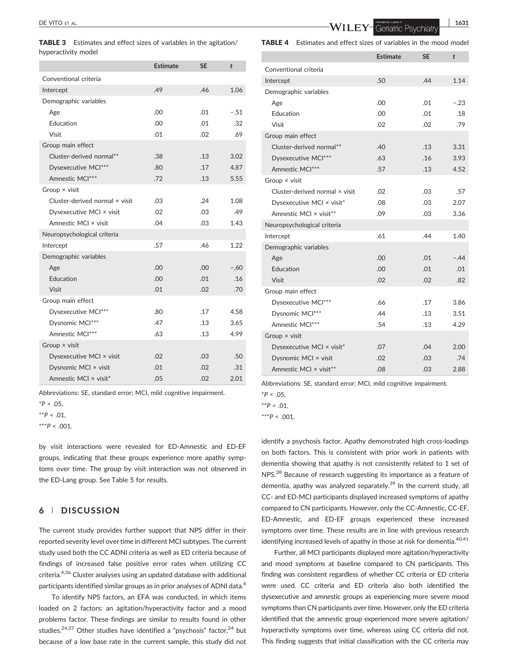TABLE 3 Estimates and effect sizes of variables in the agitation/ hyperactivity model

|                                | <b>Estimate</b> | <b>SE</b> | t      |
|--------------------------------|-----------------|-----------|--------|
| Conventional criteria          |                 |           |        |
| Intercept                      | .49             | .46       | 1.06   |
| Demographic variables          |                 |           |        |
| Age                            | .00             | .01       | $-.51$ |
| Education                      | .00             | .01       | .32    |
| Visit                          | .01             | .02       | .69    |
| Group main effect              |                 |           |        |
| Cluster-derived normal**       | .38             | .13       | 3.02   |
| Dysexecutive MCI***            | .80             | .17       | 4.87   |
| Amnestic MCI***                | .72             | .13       | 5.55   |
| Group $\times$ visit           |                 |           |        |
| Cluster-derived normal × visit | .03             | .24       | 1.08   |
| Dysexecutive MCI × visit       | .02             | .03       | .49    |
| Amnestic MCI × visit           | .04             | .03       | 1.43   |
| Neuropsychological criteria    |                 |           |        |
| Intercept                      | .57             | .46       | 1.22   |
| Demographic variables          |                 |           |        |
| Age                            | .00.            | .00.      | $-.60$ |
| Education                      | .00             | .01       | .16    |
| <b>Visit</b>                   | .01             | .02       | .70    |
| Group main effect              |                 |           |        |
| Dysexecutive MCI***            | .80             | .17       | 4.58   |
| Dysnomic MCI***                | .47             | .13       | 3.65   |
| Amnestic MCI***                | .63             | .13       | 4.99   |
| Group $\times$ visit           |                 |           |        |
| Dysexecutive MCI × visit       | .02             | .03       | .50    |
| Dysnomic MCI × visit           | .01             | .02       | .31    |
| Amnestic MCI × visit*          | .05             | .02       | 2.01   |

Abbreviations: SE, standard error; MCI, mild cognitive impairment.

 $*P < .05$ .

 $*$  $P$  < .01,

 $**p$  < .001.

by visit interactions were revealed for ED‐Amnestic and ED‐EF groups, indicating that these groups experience more apathy symptoms over time. The group by visit interaction was not observed in the ED‐Lang group. See Table 5 for results.

# 6 | DISCUSSION

The current study provides further support that NPS differ in their reported severity level over time in different MCI subtypes. The current study used both the CC ADNI criteria as well as ED criteria because of findings of increased false positive error rates when utilizing CC criteria.4,36 Cluster analyses using an updated database with additional participants identified similar groups as in prior analyses of ADNI data.<sup>6</sup>

To identify NPS factors, an EFA was conducted, in which items loaded on 2 factors: an agitation/hyperactivity factor and a mood problems factor. These findings are similar to results found in other studies. $24,37$  Other studies have identified a "psychosis" factor, $24$  but because of a low base rate in the current sample, this study did not

TABLE 4 Estimates and effect sizes of variables in the mood model

|                                | <b>Estimate</b> | <b>SE</b> | t      |
|--------------------------------|-----------------|-----------|--------|
| Conventional criteria          |                 |           |        |
| Intercept                      | .50             | .44       | 1.14   |
| Demographic variables          |                 |           |        |
| Age                            | .00             | .01       | $-.23$ |
| Education                      | .00             | .01       | .18    |
| Visit                          | .02             | .02       | .79    |
| Group main effect              |                 |           |        |
| Cluster-derived normal**       | .40             | .13       | 3.31   |
| Dysexecutive MCI***            | .63             | .16       | 3.93   |
| Amnestic MCI***                | .57             | .13       | 4.52   |
| Group $\times$ visit           |                 |           |        |
| Cluster-derived normal × visit | .02             | .03       | .57    |
| Dysexecutive MCI × visit*      | .08             | .03       | 2.07   |
| Amnestic MCI × visit**         | .09             | .03       | 3.36   |
| Neuropsychological criteria    |                 |           |        |
| Intercept                      | .61             | .44       | 1.40   |
| Demographic variables          |                 |           |        |
| Age                            | .00             | .01       | $-.44$ |
| Education                      | .00             | .01       | .01    |
| Visit                          | .02             | .02       | .82    |
| Group main effect              |                 |           |        |
| Dysexecutive MCI***            | .66             | .17       | 3.86   |
| Dysnomic MCI***                | .44             | .13       | 3.51   |
| Amnestic MCI***                | .54             | .13       | 4.29   |
| Group $\times$ visit           |                 |           |        |
| Dysexecutive MCI × visit*      | .07             | .04       | 2.00   |
| Dysnomic MCI × visit           | .02             | .03       | .74    |
| Amnestic MCI × visit**         | .08             | .03       | 2.88   |

Abbreviations: SE, standard error; MCI, mild cognitive impairment.

 $*P < 0.5$ 

 $*^{*}P < .01$ .

 $***P < .001$ .

identify a psychosis factor. Apathy demonstrated high cross-loadings on both factors. This is consistent with prior work in patients with dementia showing that apathy is not consistently related to 1 set of NPS.<sup>38</sup> Because of research suggesting its importance as a feature of dementia, apathy was analyzed separately.<sup>39</sup> In the current study, all CC‐ and ED‐MCI participants displayed increased symptoms of apathy compared to CN participants. However, only the CC‐Amnestic, CC‐EF, ED‐Amnestic, and ED‐EF groups experienced these increased symptoms over time. These results are in line with previous research identifying increased levels of apathy in those at risk for dementia. $40,41$ 

Further, all MCI participants displayed more agitation/hyperactivity and mood symptoms at baseline compared to CN participants. This finding was consistent regardless of whether CC criteria or ED criteria were used. CC criteria and ED criteria also both identified the dysexecutive and amnestic groups as experiencing more severe mood symptoms than CN participants over time. However, only the ED criteria identified that the amnestic group experienced more severe agitation/ hyperactivity symptoms over time, whereas using CC criteria did not. This finding suggests that initial classification with the CC criteria may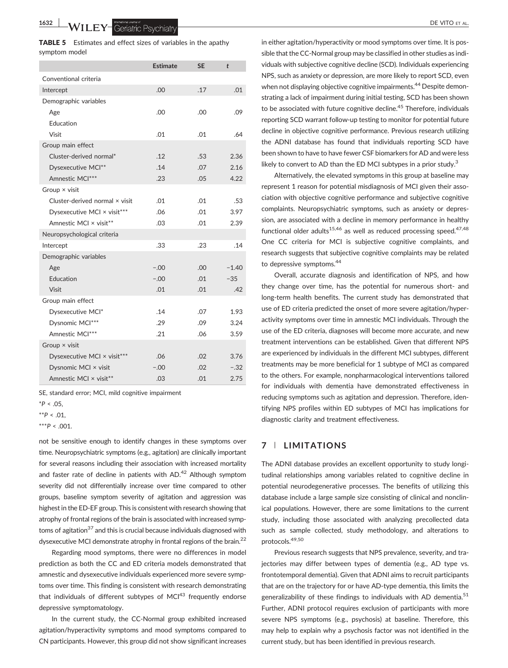TABLE 5 Estimates and effect sizes of variables in the apathy symptom model

|                                | <b>Estimate</b> | <b>SE</b> | $\mathbf{t}$ |
|--------------------------------|-----------------|-----------|--------------|
| Conventional criteria          |                 |           |              |
| Intercept                      | .00             | .17       | .01          |
| Demographic variables          |                 |           |              |
| Age                            | .00             | .00       | .09          |
| Education                      |                 |           |              |
| Visit                          | .01             | .01       | .64          |
| Group main effect              |                 |           |              |
| Cluster-derived normal*        | .12             | .53       | 2.36         |
| Dysexecutive MCI**             | .14             | .07       | 2.16         |
| Amnestic MCI***                | .23             | .05       | 4.22         |
| Group $\times$ visit           |                 |           |              |
| Cluster-derived normal × visit | .01             | .01       | .53          |
| Dysexecutive MCI × visit***    | .06             | .01       | 3.97         |
| Amnestic MCI × visit**         | .03             | .01       | 2.39         |
| Neuropsychological criteria    |                 |           |              |
| Intercept                      | .33             | .23       | .14          |
| Demographic variables          |                 |           |              |
| Age                            | $-.00$          | .00.      | $-1.40$      |
| Education                      | $-.00$          | .01       | $-35$        |
| Visit                          | .01             | .01       | .42          |
| Group main effect              |                 |           |              |
| Dysexecutive MCI*              | .14             | .07       | 1.93         |
| Dysnomic MCI***                | .29             | .09       | 3.24         |
| Amnestic MCI***                | .21             | .06       | 3.59         |
| Group $\times$ visit           |                 |           |              |
| Dysexecutive MCI × visit***    | .06             | .02       | 3.76         |
| Dysnomic MCI × visit           | $-.00$          | .02       | $-.32$       |
| Amnestic MCI × visit**         | .03             | .01       | 2.75         |

SE, standard error; MCI, mild cognitive impairment

 $*P < .05$ 

 $*$  $P$  < .01,

 $**p$  < .001.

not be sensitive enough to identify changes in these symptoms over time. Neuropsychiatric symptoms (e.g., agitation) are clinically important for several reasons including their association with increased mortality and faster rate of decline in patients with  $AD<sup>42</sup>$  Although symptom severity did not differentially increase over time compared to other groups, baseline symptom severity of agitation and aggression was highest in the ED‐EF group. This is consistent with research showing that atrophy of frontal regions of the brain is associated with increased symptoms of agitation<sup>37</sup> and this is crucial because individuals diagnosed with dysexecutive MCI demonstrate atrophy in frontal regions of the brain.<sup>22</sup>

Regarding mood symptoms, there were no differences in model prediction as both the CC and ED criteria models demonstrated that amnestic and dysexecutive individuals experienced more severe symptoms over time. This finding is consistent with research demonstrating that individuals of different subtypes of  $MCI<sup>43</sup>$  frequently endorse depressive symptomatology.

In the current study, the CC‐Normal group exhibited increased agitation/hyperactivity symptoms and mood symptoms compared to CN participants. However, this group did not show significant increases

in either agitation/hyperactivity or mood symptoms over time. It is possible that the CC‐Normal group may be classified in other studies as individuals with subjective cognitive decline (SCD). Individuals experiencing NPS, such as anxiety or depression, are more likely to report SCD, even when not displaying objective cognitive impairments.<sup>44</sup> Despite demonstrating a lack of impairment during initial testing, SCD has been shown to be associated with future cognitive decline.<sup>45</sup> Therefore, individuals reporting SCD warrant follow‐up testing to monitor for potential future decline in objective cognitive performance. Previous research utilizing the ADNI database has found that individuals reporting SCD have been shown to have to have fewer CSF biomarkers for AD and were less likely to convert to AD than the ED MCI subtypes in a prior study. $3$ 

Alternatively, the elevated symptoms in this group at baseline may represent 1 reason for potential misdiagnosis of MCI given their association with objective cognitive performance and subjective cognitive complaints. Neuropsychiatric symptoms, such as anxiety or depression, are associated with a decline in memory performance in healthy functional older adults<sup>15,46</sup> as well as reduced processing speed.<sup>47,48</sup> One CC criteria for MCI is subjective cognitive complaints, and research suggests that subjective cognitive complaints may be related to depressive symptoms.<sup>44</sup>

Overall, accurate diagnosis and identification of NPS, and how they change over time, has the potential for numerous short‐ and long‐term health benefits. The current study has demonstrated that use of ED criteria predicted the onset of more severe agitation/hyperactivity symptoms over time in amnestic MCI individuals. Through the use of the ED criteria, diagnoses will become more accurate, and new treatment interventions can be established. Given that different NPS are experienced by individuals in the different MCI subtypes, different treatments may be more beneficial for 1 subtype of MCI as compared to the others. For example, nonpharmacological interventions tailored for individuals with dementia have demonstrated effectiveness in reducing symptoms such as agitation and depression. Therefore, identifying NPS profiles within ED subtypes of MCI has implications for diagnostic clarity and treatment effectiveness.

# 7 | LIMITATIONS

The ADNI database provides an excellent opportunity to study longitudinal relationships among variables related to cognitive decline in potential neurodegenerative processes. The benefits of utilizing this database include a large sample size consisting of clinical and nonclinical populations. However, there are some limitations to the current study, including those associated with analyzing precollected data such as sample collected, study methodology, and alterations to protocols.49,50

Previous research suggests that NPS prevalence, severity, and trajectories may differ between types of dementia (e.g., AD type vs. frontotemporal dementia). Given that ADNI aims to recruit participants that are on the trajectory for or have AD‐type dementia, this limits the generalizability of these findings to individuals with AD dementia.<sup>51</sup> Further, ADNI protocol requires exclusion of participants with more severe NPS symptoms (e.g., psychosis) at baseline. Therefore, this may help to explain why a psychosis factor was not identified in the current study, but has been identified in previous research.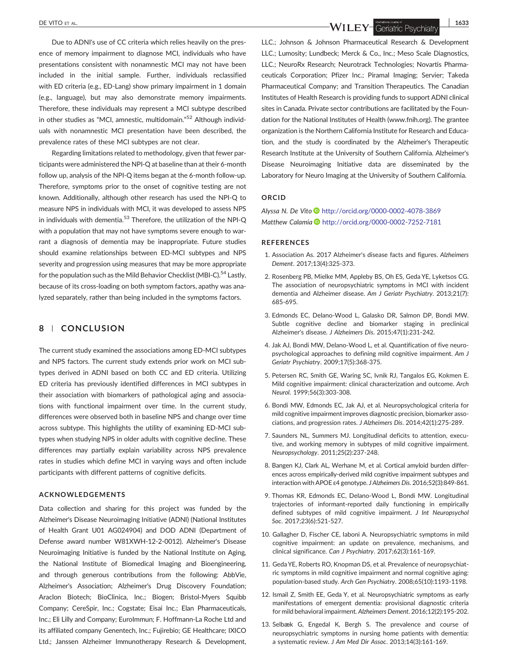Due to ADNI's use of CC criteria which relies heavily on the presence of memory impairment to diagnose MCI, individuals who have presentations consistent with nonamnestic MCI may not have been included in the initial sample. Further, individuals reclassified with ED criteria (e.g., ED-Lang) show primary impairment in 1 domain (e.g., language), but may also demonstrate memory impairments. Therefore, these individuals may represent a MCI subtype described in other studies as "MCI, amnestic, multidomain." <sup>52</sup> Although individuals with nonamnestic MCI presentation have been described, the prevalence rates of these MCI subtypes are not clear.

Regarding limitations related to methodology, given that fewer participants were administered the NPI‐Q at baseline than at their 6‐month follow up, analysis of the NPI‐Q items began at the 6‐month follow‐up. Therefore, symptoms prior to the onset of cognitive testing are not known. Additionally, although other research has used the NPI‐Q to measure NPS in individuals with MCI, it was developed to assess NPS in individuals with dementia.<sup>53</sup> Therefore, the utilization of the NPI-Q with a population that may not have symptoms severe enough to warrant a diagnosis of dementia may be inappropriate. Future studies should examine relationships between ED‐MCI subtypes and NPS severity and progression using measures that may be more appropriate for the population such as the Mild Behavior Checklist (MBI-C).<sup>54</sup> Lastly, because of its cross‐loading on both symptom factors, apathy was analyzed separately, rather than being included in the symptoms factors.

## 8 | CONCLUSION

The current study examined the associations among ED‐MCI subtypes and NPS factors. The current study extends prior work on MCI subtypes derived in ADNI based on both CC and ED criteria. Utilizing ED criteria has previously identified differences in MCI subtypes in their association with biomarkers of pathological aging and associations with functional impairment over time. In the current study, differences were observed both in baseline NPS and change over time across subtype. This highlights the utility of examining ED‐MCI subtypes when studying NPS in older adults with cognitive decline. These differences may partially explain variability across NPS prevalence rates in studies which define MCI in varying ways and often include participants with different patterns of cognitive deficits.

#### ACKNOWLEDGEMENTS

Data collection and sharing for this project was funded by the Alzheimer's Disease Neuroimaging Initiative (ADNI) (National Institutes of Health Grant U01 AG024904) and DOD ADNI (Department of Defense award number W81XWH‐12‐2‐0012). Alzheimer's Disease Neuroimaging Initiative is funded by the National Institute on Aging, the National Institute of Biomedical Imaging and Bioengineering, and through generous contributions from the following: AbbVie, Alzheimer's Association; Alzheimer's Drug Discovery Foundation; Araclon Biotech; BioClinica, Inc.; Biogen; Bristol‐Myers Squibb Company; CereSpir, Inc.; Cogstate; Eisai Inc.; Elan Pharmaceuticals, Inc.; Eli Lilly and Company; EuroImmun; F. Hoffmann‐La Roche Ltd and its affiliated company Genentech, Inc.; Fujirebio; GE Healthcare; IXICO Ltd.; Janssen Alzheimer Immunotherapy Research & Development,

LLC.; Johnson & Johnson Pharmaceutical Research & Development LLC.; Lumosity; Lundbeck; Merck & Co., Inc.; Meso Scale Diagnostics, LLC.; NeuroRx Research; Neurotrack Technologies; Novartis Pharmaceuticals Corporation; Pfizer Inc.; Piramal Imaging; Servier; Takeda Pharmaceutical Company; and Transition Therapeutics. The Canadian Institutes of Health Research is providing funds to support ADNI clinical sites in Canada. Private sector contributions are facilitated by the Foundation for the National Institutes of Health [\(www.fnih.org\)](http://www.fnih.org/). The grantee organization is the Northern California Institute for Research and Education, and the study is coordinated by the Alzheimer's Therapeutic Research Institute at the University of Southern California. Alzheimer's Disease Neuroimaging Initiative data are disseminated by the Laboratory for Neuro Imaging at the University of Southern California.

#### ORCID

Alyssa N. De Vito <http://orcid.org/0000-0002-4078-3869> Matthew Calamia <http://orcid.org/0000-0002-7252-7181>

#### **REFERENCES**

- 1. Association As. 2017 Alzheimer's disease facts and figures. Alzheimers Dement. 2017;13(4):325‐373.
- 2. Rosenberg PB, Mielke MM, Appleby BS, Oh ES, Geda YE, Lyketsos CG. The association of neuropsychiatric symptoms in MCI with incident dementia and Alzheimer disease. Am J Geriatr Psychiatry. 2013;21(7): 685‐695.
- 3. Edmonds EC, Delano‐Wood L, Galasko DR, Salmon DP, Bondi MW. Subtle cognitive decline and biomarker staging in preclinical Alzheimer's disease. J Alzheimers Dis. 2015;47(1):231‐242.
- 4. Jak AJ, Bondi MW, Delano‐Wood L, et al. Quantification of five neuropsychological approaches to defining mild cognitive impairment. Am J Geriatr Psychiatry. 2009;17(5):368‐375.
- 5. Petersen RC, Smith GE, Waring SC, Ivnik RJ, Tangalos EG, Kokmen E. Mild cognitive impairment: clinical characterization and outcome. Arch Neurol. 1999;56(3):303‐308.
- 6. Bondi MW, Edmonds EC, Jak AJ, et al. Neuropsychological criteria for mild cognitive impairment improves diagnostic precision, biomarker associations, and progression rates. J Alzheimers Dis. 2014;42(1):275‐289.
- 7. Saunders NL, Summers MJ. Longitudinal deficits to attention, executive, and working memory in subtypes of mild cognitive impairment. Neuropsychology. 2011;25(2):237‐248.
- 8. Bangen KJ, Clark AL, Werhane M, et al. Cortical amyloid burden differences across empirically‐derived mild cognitive impairment subtypes and interaction with APOE ɛ4 genotype.J Alzheimers Dis. 2016;52(3):849‐861.
- 9. Thomas KR, Edmonds EC, Delano‐Wood L, Bondi MW. Longitudinal trajectories of informant‐reported daily functioning in empirically defined subtypes of mild cognitive impairment. J Int Neuropsychol Soc. 2017;23(6):521‐527.
- 10. Gallagher D, Fischer CE, Iaboni A. Neuropsychiatric symptoms in mild cognitive impairment: an update on prevalence, mechanisms, and clinical significance. Can J Psychiatry. 2017;62(3):161‐169.
- 11. Geda YE, Roberts RO, Knopman DS, et al. Prevalence of neuropsychiatric symptoms in mild cognitive impairment and normal cognitive aging: population‐based study. Arch Gen Psychiatry. 2008;65(10):1193‐1198.
- 12. Ismail Z, Smith EE, Geda Y, et al. Neuropsychiatric symptoms as early manifestations of emergent dementia: provisional diagnostic criteria for mild behavioral impairment. Alzheimers Dement. 2016;12(2):195‐202.
- 13. Selbæk G, Engedal K, Bergh S. The prevalence and course of neuropsychiatric symptoms in nursing home patients with dementia: a systematic review. J Am Med Dir Assoc. 2013;14(3):161‐169.